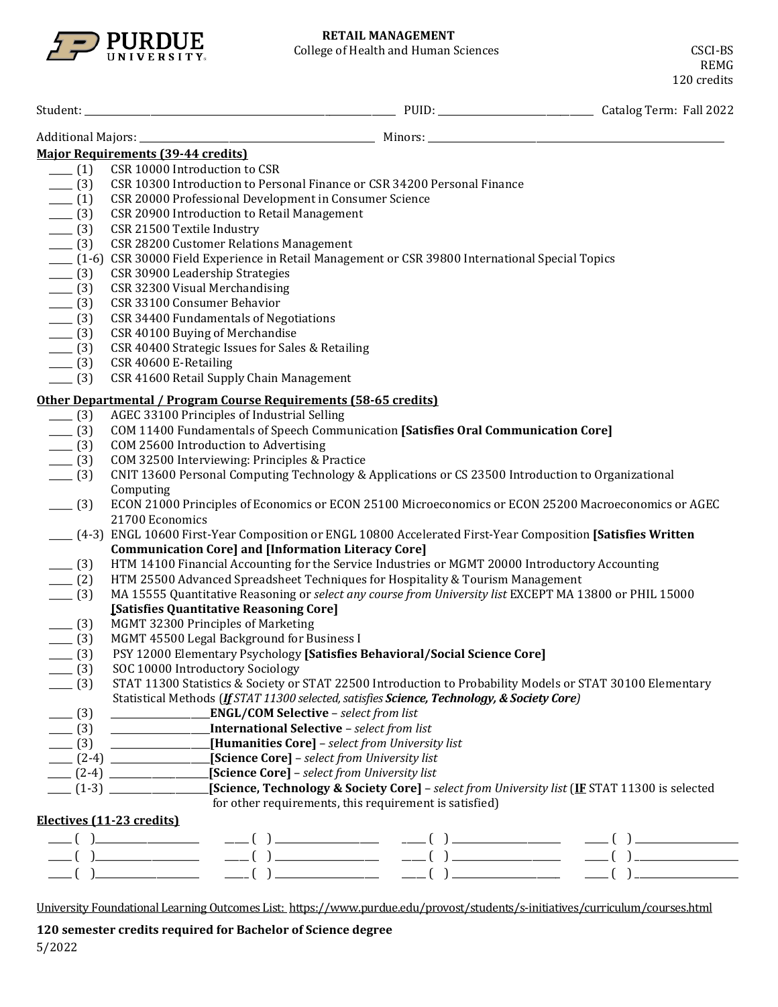

|         | <b>Major Requirements (39-44 credits)</b>                                                                                          |
|---------|------------------------------------------------------------------------------------------------------------------------------------|
| $- (1)$ | CSR 10000 Introduction to CSR                                                                                                      |
| $- (3)$ | CSR 10300 Introduction to Personal Finance or CSR 34200 Personal Finance                                                           |
| $- (1)$ | CSR 20000 Professional Development in Consumer Science                                                                             |
| $- (3)$ | CSR 20900 Introduction to Retail Management                                                                                        |
| $- (3)$ | CSR 21500 Textile Industry                                                                                                         |
|         | CSR 28200 Customer Relations Management                                                                                            |
| $- (3)$ |                                                                                                                                    |
|         | (1-6) CSR 30000 Field Experience in Retail Management or CSR 39800 International Special Topics<br>CSR 30900 Leadership Strategies |
| $- (3)$ |                                                                                                                                    |
| $- (3)$ | CSR 32300 Visual Merchandising                                                                                                     |
| $-$ (3) | CSR 33100 Consumer Behavior                                                                                                        |
| $-$ (3) | CSR 34400 Fundamentals of Negotiations                                                                                             |
| $-$ (3) | CSR 40100 Buying of Merchandise                                                                                                    |
| $-$ (3) | CSR 40400 Strategic Issues for Sales & Retailing                                                                                   |
| $-$ (3) | CSR 40600 E-Retailing                                                                                                              |
| $-$ (3) | CSR 41600 Retail Supply Chain Management                                                                                           |
|         | Other Departmental / Program Course Requirements (58-65 credits)                                                                   |
| $-$ (3) | AGEC 33100 Principles of Industrial Selling                                                                                        |
| $- (3)$ | COM 11400 Fundamentals of Speech Communication [Satisfies Oral Communication Core]                                                 |
| $- (3)$ | COM 25600 Introduction to Advertising                                                                                              |
| $- (3)$ | COM 32500 Interviewing: Principles & Practice                                                                                      |
| $-$ (3) | CNIT 13600 Personal Computing Technology & Applications or CS 23500 Introduction to Organizational                                 |
|         | Computing                                                                                                                          |
| $- (3)$ | ECON 21000 Principles of Economics or ECON 25100 Microeconomics or ECON 25200 Macroeconomics or AGEC                               |
|         | 21700 Economics                                                                                                                    |
|         | ___ (4-3) ENGL 10600 First-Year Composition or ENGL 10800 Accelerated First-Year Composition [Satisfies Written                    |
|         | <b>Communication Core] and [Information Literacy Core]</b>                                                                         |
| $- (3)$ | HTM 14100 Financial Accounting for the Service Industries or MGMT 20000 Introductory Accounting                                    |
| (2)     | HTM 25500 Advanced Spreadsheet Techniques for Hospitality & Tourism Management                                                     |
| $- (3)$ | MA 15555 Quantitative Reasoning or select any course from University list EXCEPT MA 13800 or PHIL 15000                            |
|         | [Satisfies Quantitative Reasoning Core]                                                                                            |
| $-$ (3) | MGMT 32300 Principles of Marketing                                                                                                 |
| $- (3)$ | MGMT 45500 Legal Background for Business I                                                                                         |
| $- (3)$ | PSY 12000 Elementary Psychology [Satisfies Behavioral/Social Science Core]                                                         |
| $- (3)$ | SOC 10000 Introductory Sociology                                                                                                   |
| $-$ (3) | STAT 11300 Statistics & Society or STAT 22500 Introduction to Probability Models or STAT 30100 Elementary                          |
|         | Statistical Methods (If STAT 11300 selected, satisfies Science, Technology, & Society Core)                                        |
| $- (3)$ |                                                                                                                                    |
|         | (3) __________________________International Selective – select from list                                                           |
|         | <b>EXAMPLE 19</b> [Humanities Core] – select from University list                                                                  |
| $- (3)$ | [Science Core] - select from University list                                                                                       |
|         | [2-4] [Science Core] - select from University list                                                                                 |
|         | [1-3] [Science, Technology & Society Core] - select from University list (IF STAT 11300 is selected                                |
|         | for other requirements, this requirement is satisfied)                                                                             |
|         | Electives (11-23 credits)                                                                                                          |
|         |                                                                                                                                    |
|         |                                                                                                                                    |
|         |                                                                                                                                    |
|         |                                                                                                                                    |
|         |                                                                                                                                    |

University Foundational Learning Outcomes List:<https://www.purdue.edu/provost/students/s-initiatives/curriculum/courses.html>

**120 semester credits required for Bachelor of Science degree**

5/2022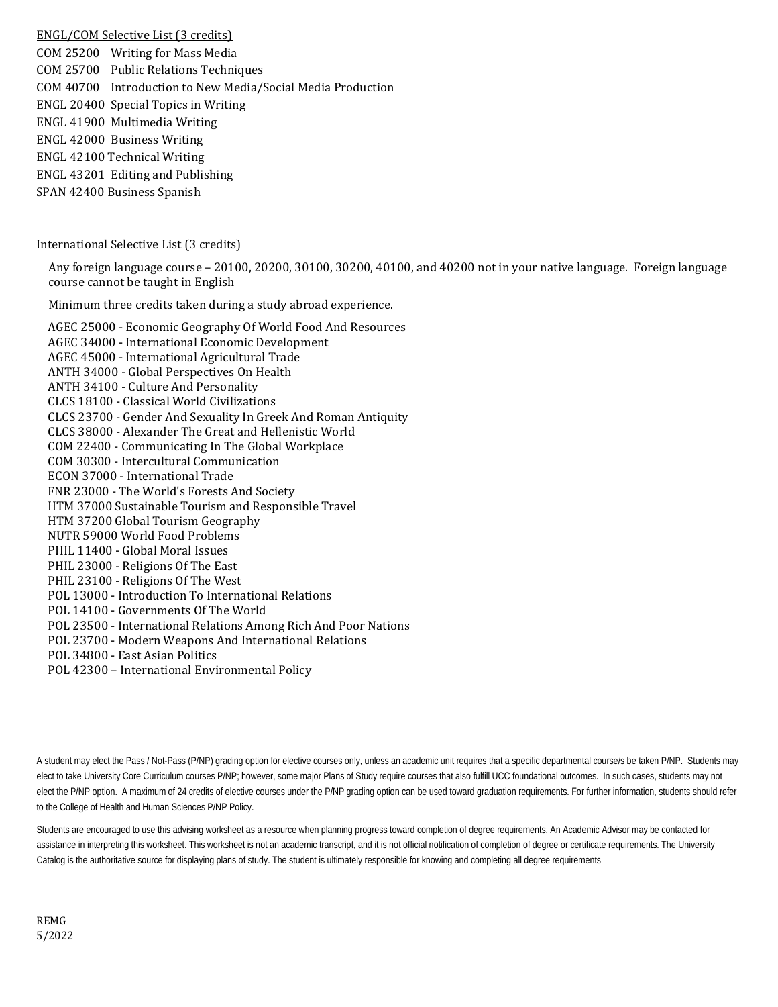ENGL/COM Selective List (3 credits) COM 25200 Writing for Mass Media COM 25700 Public Relations Techniques COM 40700 Introduction to New Media/Social Media Production ENGL 20400 Special Topics in Writing ENGL 41900 Multimedia Writing ENGL 42000 Business Writing ENGL 42100 Technical Writing ENGL 43201 Editing and Publishing SPAN 42400 Business Spanish

### International Selective List (3 credits)

Any foreign language course – 20100, 20200, 30100, 30200, 40100, and 40200 not in your native language. Foreign language course cannot be taught in English

Minimum three credits taken during a study abroad experience.

AGEC 25000 - [Economic Geography Of World Food And Resources](http://catalog.purdue.edu/preview_program.php?catoid=7&poid=6459&returnto=2935) AGEC 34000 - [International Economic Development](http://catalog.purdue.edu/preview_program.php?catoid=7&poid=6459&returnto=2935) AGEC 45000 - [International Agricultural Trade](http://catalog.purdue.edu/preview_program.php?catoid=7&poid=6459&returnto=2935) ANTH 34000 - [Global Perspectives On Health](http://catalog.purdue.edu/preview_program.php?catoid=7&poid=6459&returnto=2935) ANTH 34100 - [Culture And Personality](http://catalog.purdue.edu/preview_program.php?catoid=7&poid=6459&returnto=2935) CLCS 18100 - [Classical World Civilizations](http://catalog.purdue.edu/preview_program.php?catoid=7&poid=6459&returnto=2935) CLCS 23700 - [Gender And Sexuality In Greek And Roman Antiquity](http://catalog.purdue.edu/preview_program.php?catoid=7&poid=6459&returnto=2935) CLCS 38000 - [Alexander The Great and Hellenistic World](http://catalog.purdue.edu/preview_program.php?catoid=7&poid=6459&returnto=2935) COM 22400 - [Communicating In The Global Workplace](http://catalog.purdue.edu/preview_program.php?catoid=7&poid=6459&returnto=2935) COM 30300 - [Intercultural Communication](http://catalog.purdue.edu/preview_program.php?catoid=7&poid=6459&returnto=2935) ECON 37000 - [International Trade](http://catalog.purdue.edu/preview_program.php?catoid=7&poid=6459&returnto=2935) FNR 23000 - The World['s Forests And](http://catalog.purdue.edu/preview_program.php?catoid=7&poid=6459&returnto=2935) Society HTM 37000 Sustainable Tourism and Responsible Travel HTM 37200 Global Tourism Geography NUTR 59000 World Food Problems PHIL 11400 - [Global Moral Issues](http://catalog.purdue.edu/preview_program.php?catoid=7&poid=6459&returnto=2935) PHIL 23000 - [Religions Of The East](http://catalog.purdue.edu/preview_program.php?catoid=7&poid=6459&returnto=2935) PHIL 23100 - [Religions Of The West](http://catalog.purdue.edu/preview_program.php?catoid=7&poid=6459&returnto=2935) POL 13000 - [Introduction To International Relations](http://catalog.purdue.edu/preview_program.php?catoid=7&poid=6459&returnto=2935) POL 14100 - [Governments Of The World](http://catalog.purdue.edu/preview_program.php?catoid=7&poid=6459&returnto=2935) POL 23500 - [International Relations Among Rich And Poor Nations](http://catalog.purdue.edu/preview_program.php?catoid=7&poid=6459&returnto=2935) POL 23700 - [Modern Weapons And International Relations](http://catalog.purdue.edu/preview_program.php?catoid=7&poid=6459&returnto=2935) POL 34800 - [East Asian Politics](http://catalog.purdue.edu/preview_program.php?catoid=7&poid=6459&returnto=2935) POL 42300 – International Environmental Policy

A student may elect the Pass / Not-Pass (P/NP) grading option for elective courses only, unless an academic unit requires that a specific departmental course/s be taken P/NP. Students may elect to take University Core Curriculum courses P/NP; however, some major Plans of Study require courses that also fulfill UCC foundational outcomes. In such cases, students may not elect the P/NP option. A maximum of 24 credits of elective courses under the P/NP grading option can be used toward graduation requirements. For further information, students should refer to the College of Health and Human Sciences P/NP Policy.

Students are encouraged to use this advising worksheet as a resource when planning progress toward completion of degree requirements. An Academic Advisor may be contacted for assistance in interpreting this worksheet. This worksheet is not an academic transcript, and it is not official notification of completion of degree or certificate requirements. The University Catalog is the authoritative source for displaying plans of study. The student is ultimately responsible for knowing and completing all degree requirements